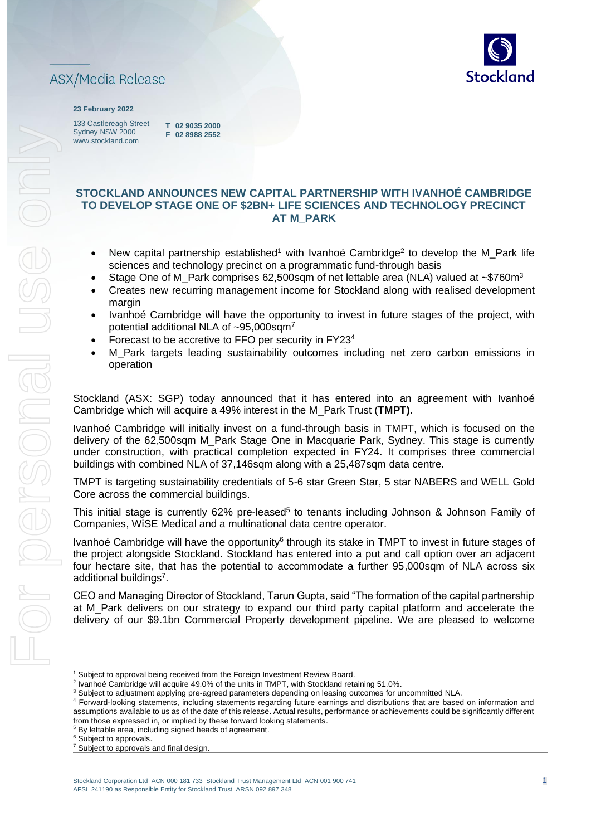

#### **23 February 2022**

133 Castlereagh Street Sydney NSW 2000 www.stockland.com

**T 02 9035 2000 F 02 8988 2552** 

### **STOCKLAND ANNOUNCES NEW CAPITAL PARTNERSHIP WITH IVANHOÉ CAMBRIDGE TO DEVELOP STAGE ONE OF \$2BN+ LIFE SCIENCES AND TECHNOLOGY PRECINCT AT M\_PARK**

- New capital partnership established<sup>1</sup> with Ivanhoé Cambridge<sup>2</sup> to develop the M\_Park life sciences and technology precinct on a programmatic fund-through basis
- Stage One of M\_Park comprises 62,500sqm of net lettable area (NLA) valued at ~\$760m<sup>3</sup>
- Creates new recurring management income for Stockland along with realised development margin
- Ivanhoé Cambridge will have the opportunity to invest in future stages of the project, with potential additional NLA of ~95,000sqm<sup>7</sup>
- Forecast to be accretive to FFO per security in FY23<sup>4</sup>
- M Park targets leading sustainability outcomes including net zero carbon emissions in operation

Stockland (ASX: SGP) today announced that it has entered into an agreement with Ivanhoé Cambridge which will acquire a 49% interest in the M\_Park Trust (**TMPT)**.

Ivanhoé Cambridge will initially invest on a fund-through basis in TMPT, which is focused on the delivery of the 62,500sqm M\_Park Stage One in Macquarie Park, Sydney. This stage is currently under construction, with practical completion expected in FY24. It comprises three commercial buildings with combined NLA of 37,146sqm along with a 25,487sqm data centre.

TMPT is targeting sustainability credentials of 5-6 star Green Star, 5 star NABERS and WELL Gold Core across the commercial buildings.

This initial stage is currently 62% pre-leased<sup>5</sup> to tenants including Johnson & Johnson Family of Companies, WiSE Medical and a multinational data centre operator.

Ivanhoé Cambridge will have the opportunity<sup>6</sup> through its stake in TMPT to invest in future stages of the project alongside Stockland. Stockland has entered into a put and call option over an adjacent four hectare site, that has the potential to accommodate a further 95,000sqm of NLA across six additional buildings<sup>7</sup>.

CEO and Managing Director of Stockland, Tarun Gupta, said "The formation of the capital partnership at M\_Park delivers on our strategy to expand our third party capital platform and accelerate the delivery of our \$9.1bn Commercial Property development pipeline. We are pleased to welcome

<sup>&</sup>lt;sup>1</sup> Subject to approval being received from the Foreign Investment Review Board.

<sup>&</sup>lt;sup>2</sup> Ivanhoé Cambridge will acquire 49.0% of the units in TMPT, with Stockland retaining 51.0%.

<sup>&</sup>lt;sup>3</sup> Subject to adjustment applying pre-agreed parameters depending on leasing outcomes for uncommitted NLA.

<sup>4</sup> Forward-looking statements, including statements regarding future earnings and distributions that are based on information and assumptions available to us as of the date of this release. Actual results, performance or achievements could be significantly different from those expressed in, or implied by these forward looking statements.

<sup>5</sup> By lettable area, including signed heads of agreement.

<sup>&</sup>lt;sup>6</sup> Subject to approvals.

<sup>&</sup>lt;sup>7</sup> Subject to approvals and final design.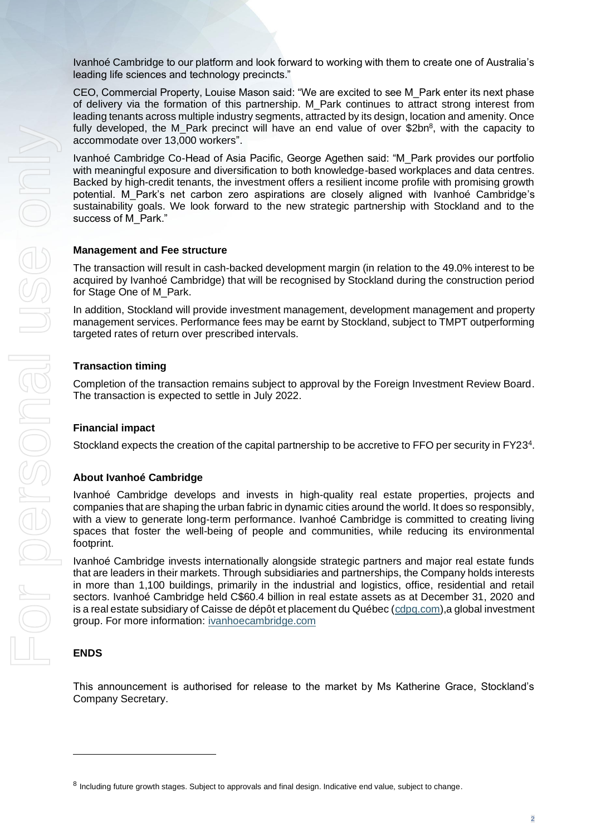Ivanhoé Cambridge to our platform and look forward to working with them to create one of Australia's leading life sciences and technology precincts."

CEO, Commercial Property, Louise Mason said: "We are excited to see M\_Park enter its next phase of delivery via the formation of this partnership. M\_Park continues to attract strong interest from leading tenants across multiple industry segments, attracted by its design, location and amenity. Once fully developed, the M\_Park precinct will have an end value of over \$2bn<sup>8</sup>, with the capacity to accommodate over 13,000 workers".

Ivanhoé Cambridge Co-Head of Asia Pacific, George Agethen said: "M\_Park provides our portfolio with meaningful exposure and diversification to both knowledge-based workplaces and data centres. Backed by high-credit tenants, the investment offers a resilient income profile with promising growth potential. M\_Park's net carbon zero aspirations are closely aligned with Ivanhoé Cambridge's sustainability goals. We look forward to the new strategic partnership with Stockland and to the success of M\_Park."

#### **Management and Fee structure**

The transaction will result in cash-backed development margin (in relation to the 49.0% interest to be acquired by Ivanhoé Cambridge) that will be recognised by Stockland during the construction period for Stage One of M\_Park.

In addition, Stockland will provide investment management, development management and property management services. Performance fees may be earnt by Stockland, subject to TMPT outperforming targeted rates of return over prescribed intervals.

#### **Transaction timing**

Completion of the transaction remains subject to approval by the Foreign Investment Review Board. The transaction is expected to settle in July 2022.

#### **Financial impact**

Stockland expects the creation of the capital partnership to be accretive to FFO per security in FY23<sup>4</sup>.

#### **About Ivanhoé Cambridge**

Ivanhoé Cambridge develops and invests in high-quality real estate properties, projects and companies that are shaping the urban fabric in dynamic cities around the world. It does so responsibly, with a view to generate long-term performance. Ivanhoé Cambridge is committed to creating living spaces that foster the well-being of people and communities, while reducing its environmental footprint.

Ivanhoé Cambridge invests internationally alongside strategic partners and major real estate funds that are leaders in their markets. Through subsidiaries and partnerships, the Company holds interests in more than 1,100 buildings, primarily in the industrial and logistics, office, residential and retail sectors. Ivanhoé Cambridge held C\$60.4 billion in real estate assets as at December 31, 2020 and is a real estate subsidiary of Caisse de dépôt et placement du Québec [\(cdpq.com\)](https://www.cdpq.com/en),a global investment group. For more information: [ivanhoecambridge.com](https://www.ivanhoecambridge.com/en/)

### **ENDS**

This announcement is authorised for release to the market by Ms Katherine Grace, Stockland's Company Secretary.

<sup>&</sup>lt;sup>8</sup> Including future growth stages. Subject to approvals and final design. Indicative end value, subject to change.